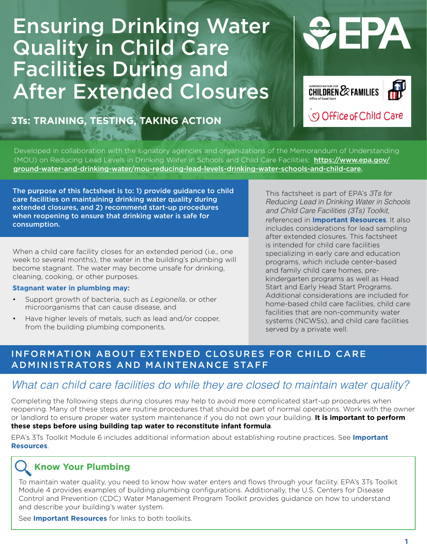# Ensuring Drinking Water Quality in Child Care Facilities During and After Extended Closures

**3Ts: TRAINING, TESTING, TAKING ACTION**





Developed in collaboration with the signatory agencies and organizations of the Memorandum of Understanding (MOU) on Reducing Lead Levels in Drinking Water in Schools and Child Care Facilities: [https://www.epa.gov/](https://www.epa.gov/ground-water-and-drinking-water/mou-reducing-lead-levels-drinking-water-schools-and-child-care) [ground-water-and-drinking-water/mou-reducing-lead-levels-drinking-water-schools-and-child-care.](https://www.epa.gov/ground-water-and-drinking-water/mou-reducing-lead-levels-drinking-water-schools-and-child-care)

 $10 - 319$  de

The purpose of this factsheet is to: 1) provide guidance to child care facilities on maintaining drinking water quality during extended closures, and 2) recommend start-up procedures when reopening to ensure that drinking water is safe for consumption.

When a child care facility closes for an extended period (i.e., one week to several months), the water in the building's plumbing will become stagnant. The water may become unsafe for drinking, cleaning, cooking, or other purposes.

#### **Stagnant water in plumbing may:**

- Support growth of bacteria, such as *Legionella*, or other microorganisms that can cause disease, and
- Have higher levels of metals, such as lead and/or copper, from the building plumbing components.

This factsheet is part of EPA's *3Ts for Reducing Lead in Drinking Water in Schools and Child Care Facilities (3Ts) Toolkit,* referenced in **[Important Resources](#page-3-0)**. It also includes considerations for lead sampling after extended closures. This factsheet is intended for child care facilities specializing in early care and education programs, which include center-based and family child care homes, prekindergarten programs as well as Head Start and Early Head Start Programs. Additional considerations are included for home-based child care facilities, child care facilities that are non-community water systems (NCWSs), and child care facilities served by a private well.

# INFORMATION ABOUT EXTENDED CLOSURES FOR CHILD CARE ADMINISTRATORS AND MAINTENANCE STAFF

# *What can child care facilities do while they are closed to maintain water quality?*

Completing the following steps during closures may help to avoid more complicated start-up procedures when reopening. Many of these steps are routine procedures that should be part of normal operations. Work with the owner or landlord to ensure proper water system maintenance if you do not own your building. **It is important to perform these steps before using building tap water to reconstitute infant formula**.

EPA's 3Ts Toolkit Module 6 includes additional information about establishing routine practices. See **[Important](#page-3-0)  [Resources](#page-3-0)**.

# **Know Your Plumbing**

To maintain water quality, you need to know how water enters and flows through your facility. EPA's 3Ts Toolkit Module 4 provides examples of building plumbing configurations. Additionally, the U.S. Centers for Disease Control and Prevention (CDC) Water Management Program Toolkit provides guidance on how to understand and describe your building's water system.

See **[Important Resources](#page-3-0)** for links to both toolkits.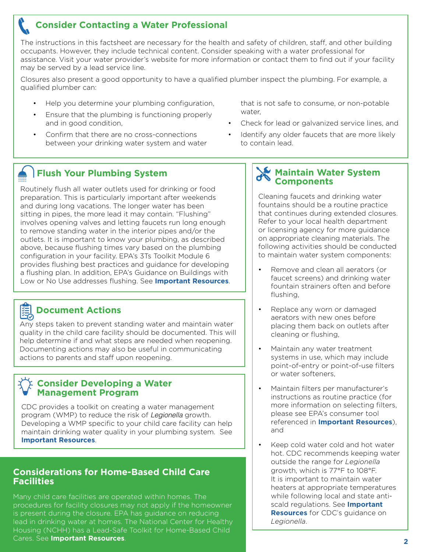# **Consider Contacting a Water Professional**

The instructions in this factsheet are necessary for the health and safety of children, staff, and other building occupants. However, they include technical content. Consider speaking with a water professional for assistance. Visit your water provider's website for more information or contact them to find out if your facility may be served by a lead service line.

Closures also present a good opportunity to have a qualified plumber inspect the plumbing. For example, a qualified plumber can:

- Help you determine your plumbing configuration,
- Ensure that the plumbing is functioning properly and in good condition,
- Confirm that there are no cross-connections between your drinking water system and water

that is not safe to consume, or non-potable water,

- Check for lead or galvanized service lines, and
- Identify any older faucets that are more likely to contain lead.

# **Flush Your Plumbing System**

Routinely flush all water outlets used for drinking or food preparation. This is particularly important after weekends and during long vacations. The longer water has been sitting in pipes, the more lead it may contain. "Flushing" involves opening valves and letting faucets run long enough to remove standing water in the interior pipes and/or the outlets. It is important to know your plumbing, as described above, because flushing times vary based on the plumbing configuration in your facility. EPA's 3Ts Toolkit Module 6 provides flushing best practices and guidance for developing a flushing plan. In addition, EPA's Guidance on Buildings with Low or No Use addresses flushing. See **[Important Resources](#page-3-0)**.

# **Document Actions**

Any steps taken to prevent standing water and maintain water quality in the child care facility should be documented. This will help determine if and what steps are needed when reopening. Documenting actions may also be useful in communicating actions to parents and staff upon reopening.

#### **Consider Developing a Water Management Program**

CDC provides a toolkit on creating a water management program (WMP) to reduce the risk of *Legionella* growth. Developing a WMP specific to your child care facility can help maintain drinking water quality in your plumbing system. See **[Important Resources](#page-3-0)**.

### **Considerations for Home-Based Child Care Facilities**

Many child care facilities are operated within homes. The procedures for facility closures may not apply if the homeowner is present during the closure. EPA has guidance on reducing lead in drinking water at homes. The National Center for Healthy Housing (NCHH) has a Lead-Safe Toolkit for Home-Based Child Cares. See **[Important Resources](#page-3-0)**. **<sup>2</sup>**

## **Maintain Water System Components**

Cleaning faucets and drinking water fountains should be a routine practice that continues during extended closures. Refer to your local health department or licensing agency for more guidance on appropriate cleaning materials. The following activities should be conducted to maintain water system components:

- Remove and clean all aerators (or faucet screens) and drinking water fountain strainers often and before flushing,
- Replace any worn or damaged aerators with new ones before placing them back on outlets after cleaning or flushing,
- Maintain any water treatment systems in use, which may include point-of-entry or point-of-use filters or water softeners,
- Maintain filters per manufacturer's instructions as routine practice (for more information on selecting filters, please see EPA's consumer tool referenced in **[Important Resources](#page-3-0)**), and
- Keep cold water cold and hot water hot. CDC recommends keeping water outside the range for *Legionella* growth, which is 77°F to 108°F. It is important to maintain water heaters at appropriate temperatures while following local and state antiscald regulations. See **[Important](#page-3-0) [Resources](#page-3-0)** for CDC's guidance on *Legionella*.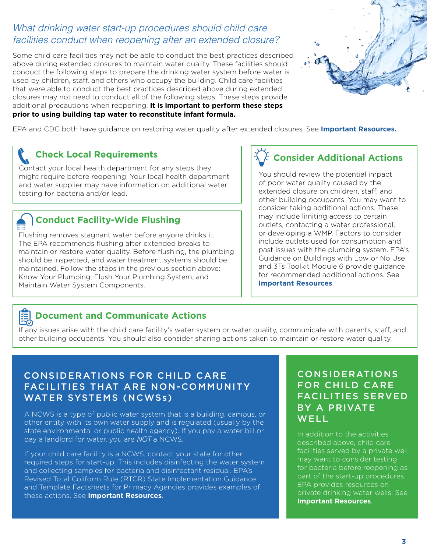# *What drinking water start-up procedures should child care facilities conduct when reopening after an extended closure?*

Some child care facilities may not be able to conduct the best practices described above during extended closures to maintain water quality. These facilities should conduct the following steps to prepare the drinking water system before water is used by children, staff, and others who occupy the building. Child care facilities that were able to conduct the best practices described above during extended closures may not need to conduct all of the following steps. These steps provide additional precautions when reopening. **It is important to perform these steps prior to using building tap water to reconstitute infant formula.** 



EPA and CDC both have guidance on restoring water quality after extended closures. See **[Important Resources](#page-3-0).**

# **Check Local Requirements**

Contact your local health department for any steps they might require before reopening. Your local health department and water supplier may have information on additional water testing for bacteria and/or lead.

# **Conduct Facility-Wide Flushing**

Flushing removes stagnant water before anyone drinks it. The EPA recommends flushing after extended breaks to maintain or restore water quality. Before flushing, the plumbing should be inspected, and water treatment systems should be maintained. Follow the steps in the previous section above: Know Your Plumbing, Flush Your Plumbing System, and Maintain Water System Components.

# **Consider Additional Actions**

You should review the potential impact of poor water quality caused by the extended closure on children, staff, and other building occupants. You may want to consider taking additional actions. These may include limiting access to certain outlets, contacting a water professional, or developing a WMP. Factors to consider include outlets used for consumption and past issues with the plumbing system. EPA's Guidance on Buildings with Low or No Use and 3Ts Toolkit Module 6 provide guidance for recommended additional actions. See **[Important Resources](#page-3-0)**.



# **Document and Communicate Actions**

If any issues arise with the child care facility's water system or water quality, communicate with parents, staff, and other building occupants. You should also consider sharing actions taken to maintain or restore water quality.

# CONSIDERATIONS FOR CHILD CARE FACILITIES THAT ARE NON-COMMUNITY WATER SYSTEMS (NCWSs)

A NCWS is a type of public water system that is a building, campus, or other entity with its own water supply and is regulated (usually by the state environmental or public health agency). If you pay a water bill or pay a landlord for water, you are *NOT* a NCWS.

If your child care facility is a NCWS, contact your state for other required steps for start-up. This includes disinfecting the water system and collecting samples for bacteria and disinfectant residual. EPA's Revised Total Coliform Rule (RTCR) State Implementation Guidance and Template Factsheets for Primacy Agencies provides examples of these actions. See **[Important Resources](#page-3-0)**.

# CONSIDERATIONS FOR CHILD CARE FACILITIES SERVED BY A PRIVATE WELL<sup>1</sup>

In addition to the activities described above, child care facilities served by a private well may want to consider testing for bacteria before reopening as part of the start-up procedures. EPA provides resources on private drinking water wells. See **[Important Resources](#page-3-0)**.